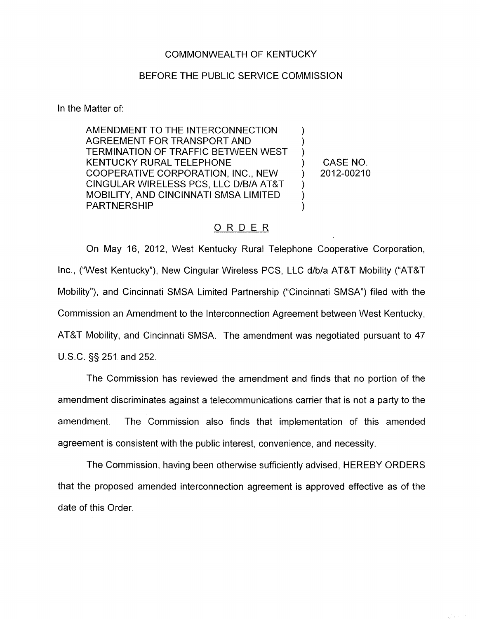## COMMONWEALTH OF KENTUCKY

## BEFORE THE PUBLIC SERVICE COMMISSION

In the Matter of:

AMENDMENT TO THE INTERCONNECTION AGREEMENT FOR TRANSPORT AND TERMINATION OF TRAFFIC BETWEEN WEST KENTUCKY RURAL TELEPHONE COOPERATIVE CORPORATION, INC., NEW CINGULAR WIRELESS PCS, LLC D/B/A AT&T MOBILITY, AND CINCINNATI SMSA LIMITED PARTNERSHIP

) 2012-00210 CASE NO.

) ) )

)  $\lambda$ )

## ORDER

On May 16, 2012, West Kentucky Rural Telephone Cooperative Corporation, Inc., ("West Kentucky"), New Cingular Wireless PCS, LLC d/b/a AT&T Mobility ("AT&T Mobility"), and Cincinnati SMSA Limited Partnership ("Cincinnati SMSA") filed with the Commission an Amendment to the Interconnection Agreement between West Kentucky, AT&T Mobility, and Cincinnati SMSA. The amendment was negotiated pursuant to 47 U.S.C. §§ 251 and 252.

The Commission has reviewed the amendment and finds that no portion of the amendment discriminates against a telecommunications carrier that is not a party to the amendment. The Commission also finds that implementation of this amended agreement is consistent with the public interest, convenience, and necessity.

The Commission, having been otherwise sufficiently advised, HEREBY ORDERS that the proposed amended interconnection agreement is approved effective as of the date of this Order.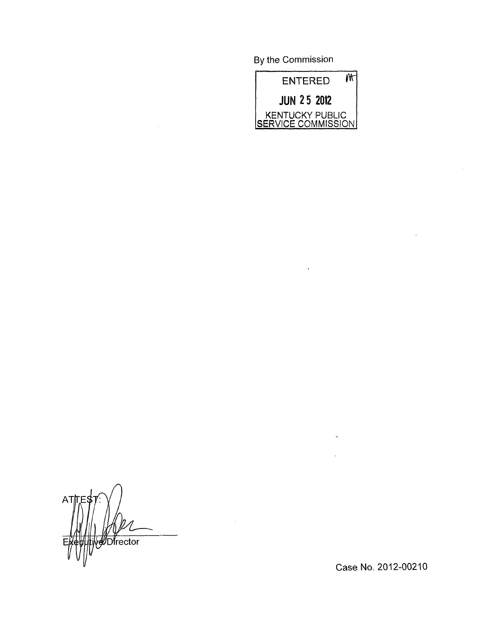By the Commission



A1 **Journal** 

Case No. 2012-00210